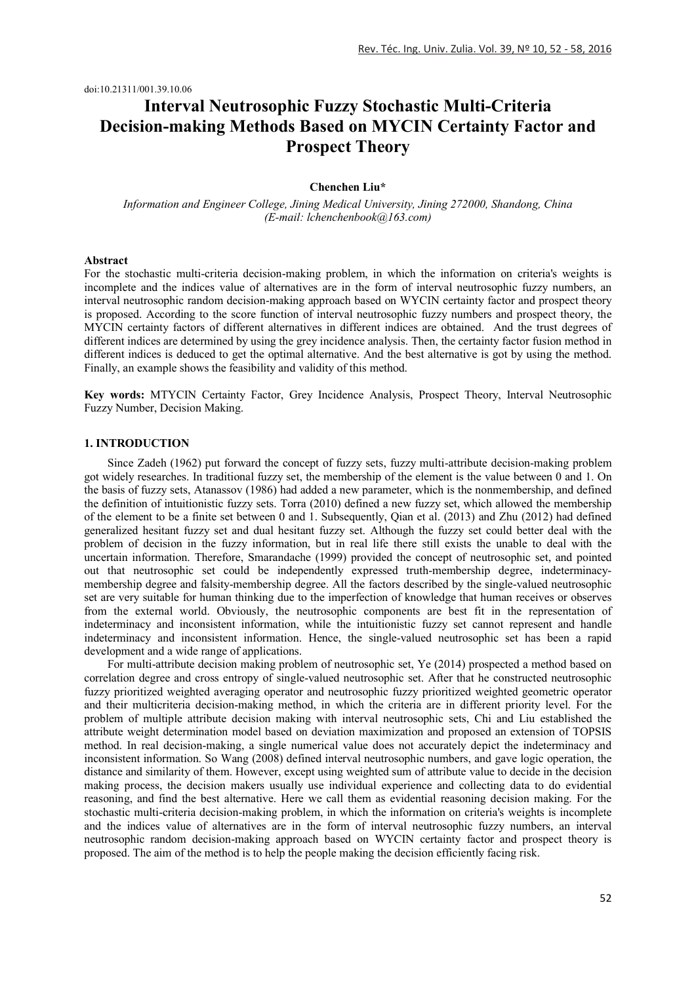doi:10.21311/001.39.10.06

# **Interval Neutrosophic Fuzzy Stochastic Multi-Criteria Decision-making Methods Based on MYCIN Certainty Factor and Prospect Theory**

# **Chenchen Liu\***

*Information and Engineer College, Jining Medical University, Jining 272000, Shandong, China (E-mail: lchenchenbook@163.com)*

## **Abstract**

For the stochastic multi-criteria decision-making problem, in which the information on criteria's weights is incomplete and the indices value of alternatives are in the form of interval neutrosophic fuzzy numbers, an interval neutrosophic random decision-making approach based on WYCIN certainty factor and prospect theory is proposed. According to the score function of interval neutrosophic fuzzy numbers and prospect theory, the MYCIN certainty factors of different alternatives in different indices are obtained. And the trust degrees of different indices are determined by using the grey incidence analysis. Then, the certainty factor fusion method in different indices is deduced to get the optimal alternative. And the best alternative is got by using the method. Finally, an example shows the feasibility and validity of this method.

**Key words:** MTYCIN Certainty Factor, Grey Incidence Analysis, Prospect Theory, Interval Neutrosophic Fuzzy Number, Decision Making.

## **1. INTRODUCTION**

Since Zadeh (1962) put forward the concept of fuzzy sets, fuzzy multi-attribute decision-making problem got widely researches. In traditional fuzzy set, the membership of the element is the value between 0 and 1. On the basis of fuzzy sets, Atanassov (1986) had added a new parameter, which is the nonmembership, and defined the definition of intuitionistic fuzzy sets. Torra (2010) defined a new fuzzy set, which allowed the membership of the element to be a finite set between 0 and 1. Subsequently, Qian et al. (2013) and Zhu (2012) had defined generalized hesitant fuzzy set and dual hesitant fuzzy set. Although the fuzzy set could better deal with the problem of decision in the fuzzy information, but in real life there still exists the unable to deal with the uncertain information. Therefore, Smarandache (1999) provided the concept of neutrosophic set, and pointed out that neutrosophic set could be independently expressed truth-membership degree, indeterminacymembership degree and falsity-membership degree. All the factors described by the single-valued neutrosophic set are very suitable for human thinking due to the imperfection of knowledge that human receives or observes from the external world. Obviously, the neutrosophic components are best fit in the representation of indeterminacy and inconsistent information, while the intuitionistic fuzzy set cannot represent and handle indeterminacy and inconsistent information. Hence, the single-valued neutrosophic set has been a rapid development and a wide range of applications.

For multi-attribute decision making problem of neutrosophic set, Ye (2014) prospected a method based on correlation degree and cross entropy of single-valued neutrosophic set. After that he constructed neutrosophic fuzzy prioritized weighted averaging operator and neutrosophic fuzzy prioritized weighted geometric operator and their multicriteria decision-making method, in which the criteria are in different priority level. For the problem of multiple attribute decision making with interval neutrosophic sets, Chi and Liu established the attribute weight determination model based on deviation maximization and proposed an extension of TOPSIS method. In real decision-making, a single numerical value does not accurately depict the indeterminacy and inconsistent information. So Wang (2008) defined interval neutrosophic numbers, and gave logic operation, the distance and similarity of them. However, except using weighted sum of attribute value to decide in the decision making process, the decision makers usually use individual experience and collecting data to do evidential reasoning, and find the best alternative. Here we call them as evidential reasoning decision making. For the stochastic multi-criteria decision-making problem, in which the information on criteria's weights is incomplete and the indices value of alternatives are in the form of interval neutrosophic fuzzy numbers, an interval neutrosophic random decision-making approach based on WYCIN certainty factor and prospect theory is proposed. The aim of the method is to help the people making the decision efficiently facing risk.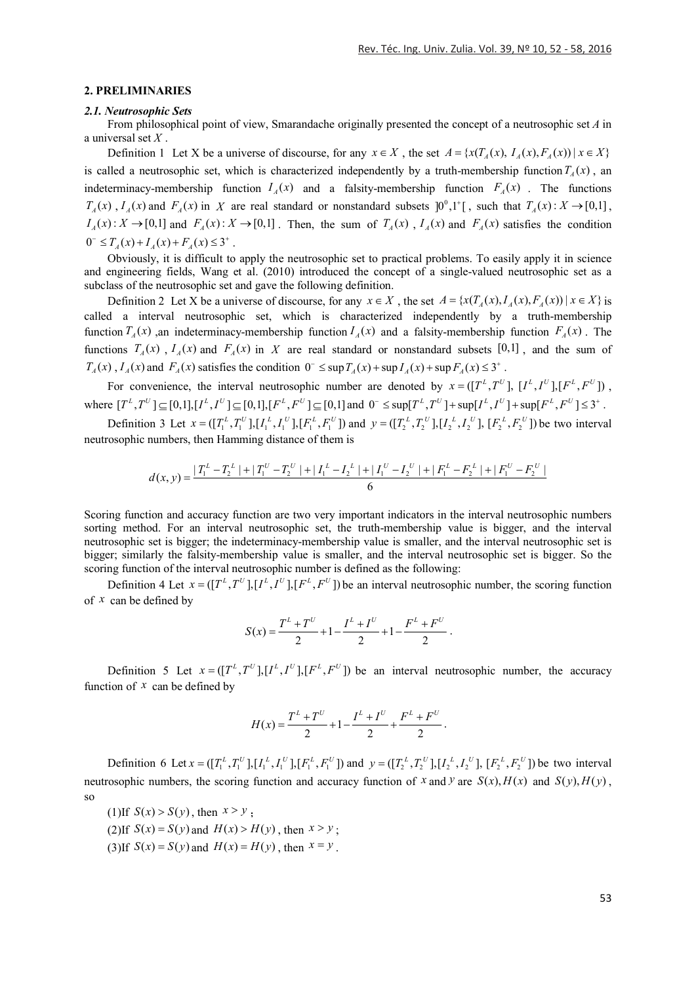#### **2. PRELIMINARIES**

#### *2.1. Neutrosophic Sets*

From philosophical point of view, Smarandache originally presented the concept of a neutrosophic set *A* in a universal set *X* .

Definition 1 Let X be a universe of discourse, for any  $x \in X$ , the set  $A = \{x(T_A(x), I_A(x), F_A(x)) | x \in X\}$ is called a neutrosophic set, which is characterized independently by a truth-membership function  $T_A(x)$ , an indeterminacy-membership function  $I_A(x)$  and a falsity-membership function  $F_A(x)$ . The functions  $T_A(x)$ ,  $I_A(x)$  and  $F_A(x)$  in X are real standard or nonstandard subsets  $[0^0,1^+]$ , such that  $T_A(x): X \to [0,1]$ ,  $I_A(x): X \to [0,1]$  and  $F_A(x): X \to [0,1]$ . Then, the sum of  $T_A(x)$ ,  $I_A(x)$  and  $F_A(x)$  satisfies the condition  $0^{-} \leq T_A(x) + I_A(x) + F_A(x) \leq 3^{+}$ .

Obviously, it is difficult to apply the neutrosophic set to practical problems. To easily apply it in science and engineering fields, Wang et al. (2010) introduced the concept of a single-valued neutrosophic set as a subclass of the neutrosophic set and gave the following definition.

Definition 2 Let X be a universe of discourse, for any  $x \in X$ , the set  $A = \{x(T_A(x), I_A(x), F_A(x)) | x \in X\}$  is called a interval neutrosophic set, which is characterized independently by a truth-membership function  $T_A(x)$ , an indeterminacy-membership function  $I_A(x)$  and a falsity-membership function  $F_A(x)$ . The functions  $T_A(x)$ ,  $I_A(x)$  and  $F_A(x)$  in X are real standard or nonstandard subsets [0,1], and the sum of  $T_A(x)$ ,  $I_A(x)$  and  $F_A(x)$  satisfies the condition  $0^- \leq \sup T_A(x) + \sup I_A(x) + \sup F_A(x) \leq 3^+$ .

For convenience, the interval neutrosophic number are denoted by  $x = (\lfloor T^L, T^U \rfloor, \lfloor I^L, I^U \rfloor, \lfloor F^L, F^U \rfloor)$ , where  $[T^L, T^U] \subseteq [0,1], [I^L, I^U] \subseteq [0,1], [F^L, F^U] \subseteq [0,1]$  and  $0^- \leq \sup[T^L, T^U] + \sup[I^L, I^U] + \sup[F^L, F^U] \leq 3^+$ .

Definition 3 Let  $x = (\prod_{i=1}^{L} T_i^U, \prod_{i=1}^{U} J_i^U, \prod_{i=1}^{U} J_i^U, \prod_{i=1}^{U} J_i^U)$  and  $y = (\prod_{i=1}^{L} T_i^U, \prod_{i=1}^{U} J_i^U, \prod_{i=1}^{U} J_i^U, \prod_{i=1}^{U} J_i^U, \prod_{i=1}^{U} J_i^U, \prod_{i=1}^{U} J_i^U, \prod_{i=1}^{U} J_i^U, \prod_{i=1}^{U} J_i^U, \prod_{i=1}^{U} J_i$ neutrosophic numbers, then Hamming distance of them is

$$
d(x,y) = \frac{|T_1^L - T_2^L| + |T_1^U - T_2^U| + |I_1^L - I_2^L| + |I_1^U - I_2^U| + |F_1^L - F_2^L| + |F_1^U - F_2^U|}{6}
$$

Scoring function and accuracy function are two very important indicators in the interval neutrosophic numbers sorting method. For an interval neutrosophic set, the truth-membership value is bigger, and the interval neutrosophic set is bigger; the indeterminacy-membership value is smaller, and the interval neutrosophic set is bigger; similarly the falsity-membership value is smaller, and the interval neutrosophic set is bigger. So the scoring function of the interval neutrosophic number is defined as the following:

Definition 4 Let  $x = ([T^L, T^U], [I^L, I^U], [F^L, F^U])$  be an interval neutrosophic number, the scoring function of *x* can be defined by

$$
S(x) = \frac{T^{L} + T^{U}}{2} + 1 - \frac{I^{L} + I^{U}}{2} + 1 - \frac{F^{L} + F^{U}}{2}.
$$

Definition 5 Let  $x = (\int T^L, T^U, [I^U, I^U, I^U, F^U])$  be an interval neutrosophic number, the accuracy function of  $x$  can be defined by

$$
H(x) = \frac{T^{L} + T^{U}}{2} + 1 - \frac{I^{L} + I^{U}}{2} + \frac{F^{L} + F^{U}}{2}.
$$

Definition 6 Let  $x = (\prod_1^L, T_1^U], [\prod_1^L, I_1^U], [\prod_1^L, F_1^U]$  and  $y = (\prod_2^L, T_2^U], [\prod_2^L, I_2^U], [\prod_2^L, F_2^U]$  be two interval neutrosophic numbers, the scoring function and accuracy function of *x* and *y* are  $S(x)$ ,  $H(x)$  and  $S(y)$ ,  $H(y)$ , so

(1) If  $S(x) > S(y)$ , then  $x > y$ ; (2) If  $S(x) = S(y)$  and  $H(x) > H(y)$ , then  $x > y$ ; (3) If  $S(x) = S(y)$  and  $H(x) = H(y)$ , then  $x = y$ .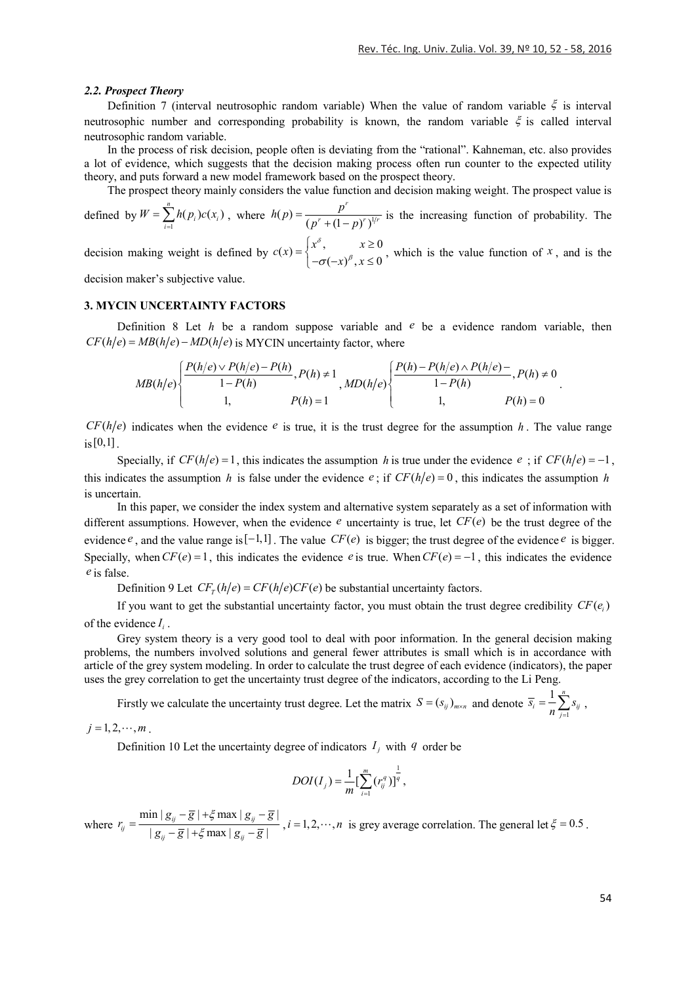#### *2.2. Prospect Theory*

Definition 7 (interval neutrosophic random variable) When the value of random variable  $\xi$  is interval neutrosophic number and corresponding probability is known, the random variable  $\xi$  is called interval neutrosophic random variable.

In the process of risk decision, people often is deviating from the "rational". Kahneman, etc. also provides a lot of evidence, which suggests that the decision making process often run counter to the expected utility theory, and puts forward a new model framework based on the prospect theory.

The prospect theory mainly considers the value function and decision making weight. The prospect value is

defined by  $W = \sum_{i=1}^{\infty}$  $\sum_{i=1}^{n} h(p_i)c(x_i)$  $\sum_{i=1}^n$ <sup>*i*</sup> $\sum_i$ *j* $\sum_i$  $\sum_i$  $W = \sum h(p_i)c(x)$  $=\sum_{i=1}^{n} h(p_i)c(x_i)$ , where  $h(p) = \frac{p^r}{(p^r + (1-p)^r)^{1-r}}$  $h(p) = \frac{p^r}{(p^r + (1-p)^r)^{1/r}}$  is the increasing function of probability. The δ

decision making weight is defined by  $c(x) = \begin{cases} x^{\delta}, & x \ge 0 \\ -\sigma(-x)^{\beta}, & x \le 0 \end{cases}$  $x)^\beta, x$  $=\begin{cases} x^{\delta}, & x \ge 0 \\ -\sigma(-x)^{\beta}, & x \le 0 \end{cases}$ , which is the value function of *x*, and is the

decision maker's subjective value.

# **3. MYCIN UNCERTAINTY FACTORS**

Definition 8 Let *h* be a random suppose variable and *e* be a evidence random variable, then  $CF(h/e) = MB(h/e) - MD(h/e)$  is MYCIN uncertainty factor, where

$$
MB(h/e) \left\{ \frac{P(h/e) \vee P(h/e) - P(h)}{1 - P(h)}, P(h) \neq 1, \quad MD(h/e) \left\{ \frac{P(h) - P(h/e) \wedge P(h/e) - P(h/e)}{1 - P(h)}, P(h) \neq 0, \right. \\ 1, \quad P(h) = 0 \right\}
$$

 $CF(h/e)$  indicates when the evidence  $e$  is true, it is the trust degree for the assumption *h*. The value range  $i_s[0,1]$ 

Specially, if  $CF(h/e) = 1$ , this indicates the assumption *h* is true under the evidence *e*; if  $CF(h/e) = -1$ , this indicates the assumption *h* is false under the evidence *e*; if  $CF(h/e) = 0$ , this indicates the assumption *h* is uncertain.

In this paper, we consider the index system and alternative system separately as a set of information with different assumptions. However, when the evidence  $e$  uncertainty is true, let  $CF(e)$  be the trust degree of the evidence  $e$ , and the value range is  $[-1,1]$ . The value *CF(e)* is bigger; the trust degree of the evidence  $e$  is bigger. Specially, when  $CF(e) = 1$ , this indicates the evidence  $e$  is true. When  $CF(e) = -1$ , this indicates the evidence *e* is false.

Definition 9 Let  $CF_T(h/e) = CF(h/e)CF(e)$  be substantial uncertainty factors.

If you want to get the substantial uncertainty factor, you must obtain the trust degree credibility  $CF(e_i)$ of the evidence *<sup>i</sup> I* .

Grey system theory is a very good tool to deal with poor information. In the general decision making problems, the numbers involved solutions and general fewer attributes is small which is in accordance with article of the grey system modeling. In order to calculate the trust degree of each evidence (indicators), the paper uses the grey correlation to get the uncertainty trust degree of the indicators, according to the Li Peng.

Firstly we calculate the uncertainty trust degree. Let the matrix  $S = (s_{ij})_{m \times n}$  and denote  $\overline{s_i} = \frac{1}{n} \sum_{j=1}^{n} s_{ij}$  $\overline{s}_i = \frac{1}{n} \sum_{j=1}^n s_{ij}$ 

 $j = 1, 2, \cdots, m$ .

Definition 10 Let the uncertainty degree of indicators  $I_i$  with  $q$  order be

$$
DOI(I_j) = \frac{1}{m} \left[ \sum_{i=1}^{m} (r_{ij}^{q}) \right]^{\frac{1}{q}},
$$

where  $r_{ij} = \frac{\min |g_{ij} - \overline{g}| + \xi \max |g_{ij} - \overline{g}|}{|g_{ii} - \overline{g}| + \xi \max |g_{ii} - \overline{g}|}$  $r_{ij} = \frac{\min |g_{ij} - \overline{g}| + \xi \max |g_{ij} - \overline{g}|}{|g_{ij} - \overline{g}| + \xi \max |g_{ij} - \overline{g}|}$  $=\frac{\min |g_{ij}-\overline{g}|+\xi \max |g_{ij}-\overline{g}|}{|g_{ii}-\overline{g}|+\xi \max |g_{ij}-\overline{g}|}, i=1,2,\cdots,n$  is grey average correlation. The general let  $\xi=0.5$ .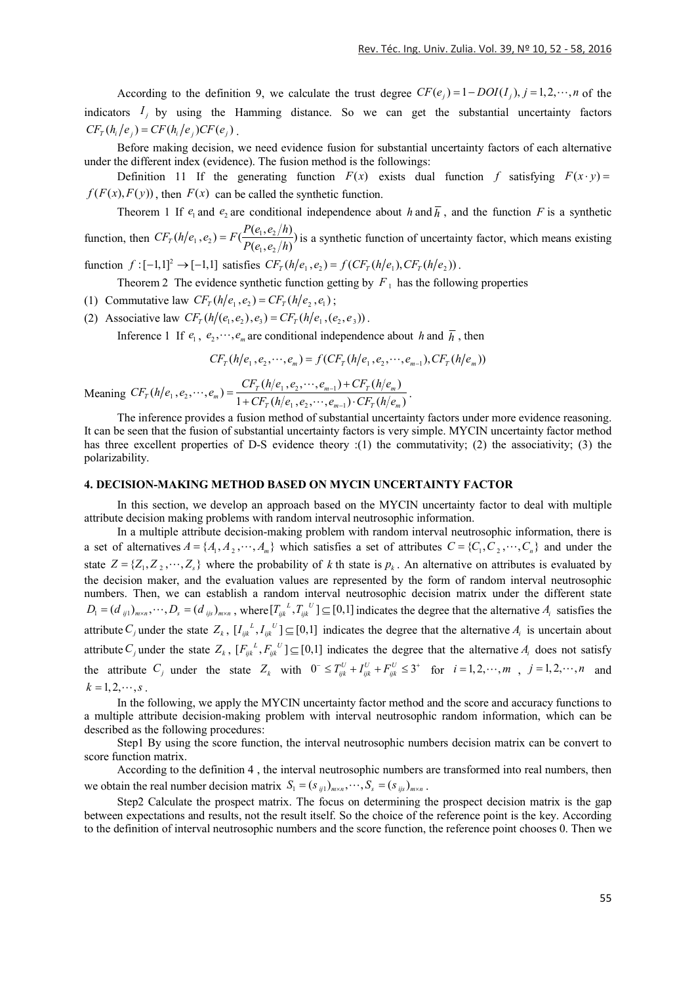According to the definition 9, we calculate the trust degree  $CF(e_i) = 1 - DOI(I_i)$ ,  $j = 1,2,\dots, n$  of the indicators  $I_i$  by using the Hamming distance. So we can get the substantial uncertainty factors  $CF_{T}(h_i/e_i) = CF(h_i/e_i)CF(e_i)$ .

Before making decision, we need evidence fusion for substantial uncertainty factors of each alternative under the different index (evidence). The fusion method is the followings:

Definition 11 If the generating function  $F(x)$  exists dual function f satisfying  $F(x \cdot y) =$  $f(F(x), F(y))$ , then  $F(x)$  can be called the synthetic function.

Theorem 1 If  $e_1$  and  $e_2$  are conditional independence about *h* and  $\overline{h}$ , and the function *F* is a synthetic

function, then  $CF_T(h/e_1, e_2) = F(\frac{P(e_1, e_2/h)}{P(e_1, e_2/h)})$  is a synthetic function of uncertainty factor, which means existing

function  $f : [-1,1]^2 \to [-1,1]$  satisfies  $CF_T(h/e_1, e_2) = f(CF_T(h/e_1), CF_T(h/e_2))$ .

Theorem 2 The evidence synthetic function getting by  $F_1$  has the following properties

- (1) Commutative law  $CF_T(h/e_1, e_2) = CF_T(h/e_2, e_1);$
- (2) Associative law  $CF_r(h/(e_1, e_2), e_3) = CF_r(h/e_1, (e_2, e_3))$ .

Inference 1 If  $e_1, e_2, \dots, e_m$  are conditional independence about *h* and  $\overline{h}$ , then

$$
CF_T(h/e_1, e_2, \cdots, e_m) = f(CF_T(h/e_1, e_2, \cdots, e_{m-1}), CF_T(h/e_m))
$$

Meaning  $CF_T(h/e_1, e_2, \dots, e_m) = \frac{CF_T(h/e_1, e_2, \dots, e_{m-1}) + CF_T(h/e_m)}{1 + CF_T(h/e_1, e_2, \dots, e_{m-1}) \cdot CF_T(h/e_m)}$  $CF_T(h/e_1, e_2, \cdots, e_m) = \frac{CF_T(h/e_1, e_2, \cdots, e_{m-1}) + CF_T(h/e_m)}{1 + CF_T(h/e_1, e_2, \cdots, e_{m-1}) \cdot CF_T(h/e_m)}$ ÷, ...,  $e_m$ ) =  $\frac{CF_T(h/e_1, e_2, \cdots, e_{m-1}) + CF_T(h/e_m)}{1 + CF_T(h/e_1, e_2, \cdots, e_{m-1}) \cdot CF_T(h/e_m)}$ .

The inference provides a fusion method of substantial uncertainty factors under more evidence reasoning. It can be seen that the fusion of substantial uncertainty factors is very simple. MYCIN uncertainty factor method has three excellent properties of D-S evidence theory :(1) the commutativity; (2) the associativity; (3) the polarizability.

#### **4. DECISION-MAKING METHOD BASED ON MYCIN UNCERTAINTY FACTOR**

In this section, we develop an approach based on the MYCIN uncertainty factor to deal with multiple attribute decision making problems with random interval neutrosophic information.

In a multiple attribute decision-making problem with random interval neutrosophic information, there is a set of alternatives  $A = \{A_1, A_2, \dots, A_m\}$  which satisfies a set of attributes  $C = \{C_1, C_2, \dots, C_n\}$  and under the state  $Z = \{Z_1, Z_2, \dots, Z_s\}$  where the probability of *k* th state is  $p_k$ . An alternative on attributes is evaluated by the decision maker, and the evaluation values are represented by the form of random interval neutrosophic numbers. Then, we can establish a random interval neutrosophic decision matrix under the different state  $D_1 = (d_{ij1})_{m \times n}, \dots, D_s = (d_{ijs})_{m \times n}$ , where  $[T_{ijk}^L, T_{ijk}^U] \subseteq [0,1]$  indicates the degree that the alternative  $A_i$  satisfies the attribute  $C_j$  under the state  $Z_k$ ,  $[I_{ijk}^L, I_{ijk}^U] \subseteq [0,1]$  indicates the degree that the alternative  $A_i$  is uncertain about attribute  $C_i$  under the state  $Z_k$ ,  $[F_{ijk}^L, F_{ijk}^U] \subseteq [0,1]$  indicates the degree that the alternative  $A_i$  does not satisfy the attribute  $C_j$  under the state  $Z_k$  with  $0 \leq T_{ijk}^U + T_{ijk}^U + T_{ijk}^U \leq 3^+$  for  $i = 1, 2, \dots, m$ ,  $j = 1, 2, \dots, n$  and  $k = 1, 2, \cdots, s$ .

In the following, we apply the MYCIN uncertainty factor method and the score and accuracy functions to a multiple attribute decision-making problem with interval neutrosophic random information, which can be described as the following procedures:

Step1 By using the score function, the interval neutrosophic numbers decision matrix can be convert to score function matrix.

According to the definition 4 , the interval neutrosophic numbers are transformed into real numbers, then we obtain the real number decision matrix  $S_1 = (s_{ij1})_{m \times n}, \dots, S_s = (s_{ijs})_{m \times n}$ .

Step2 Calculate the prospect matrix. The focus on determining the prospect decision matrix is the gap between expectations and results, not the result itself. So the choice of the reference point is the key. According to the definition of interval neutrosophic numbers and the score function, the reference point chooses 0. Then we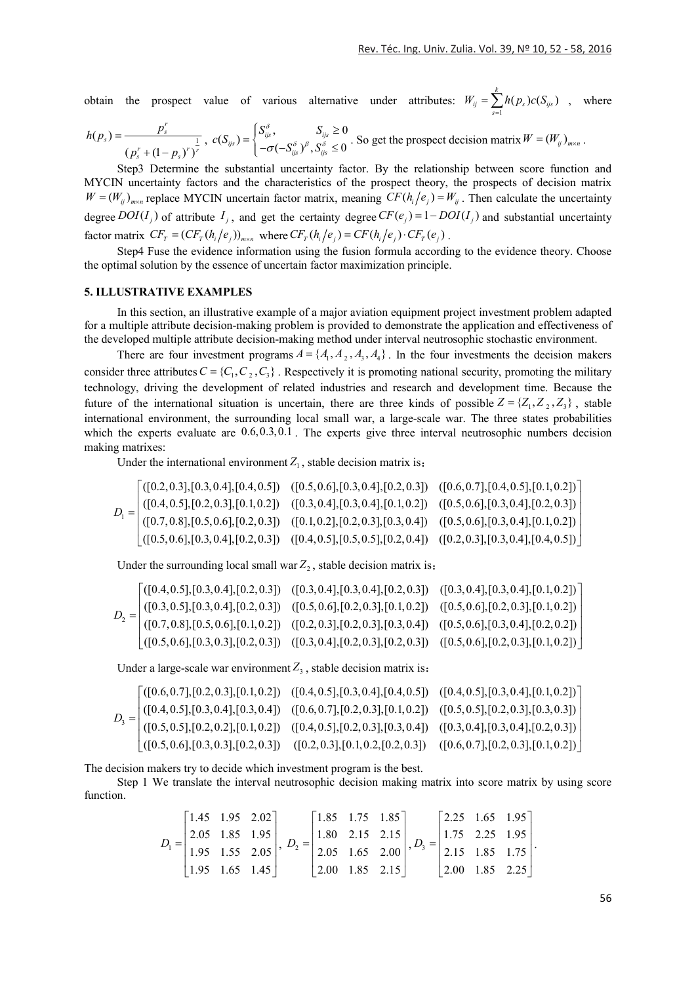obtain the prospect value of various alternative under attributes:  $W_{ij} = \sum_{s=1}^{n}$  $\sum^k h(p_s) c(S_{_{iis}})$  $\sum_{s=1}^n n(P_s) \mathcal{C}(\mathcal{S}_{ijs})$  $W_{ii} = \sum h(p_s)c(S)$  $=\sum_{s=1}h(p_s)c(S_{ijs})$ , where

$$
h(p_s) = \frac{p_s^r}{(p_s^r + (1-p_s)^r)^{\frac{1}{r}}}, \ c(S_{ijs}) = \begin{cases} S_{ijs}^{\delta}, & S_{ijs} \ge 0\\ -\sigma(-S_{ijs}^{\delta})^{\beta}, S_{ijs}^{\delta} \le 0 \end{cases}
$$
. So get the prospect decision matrix  $W = (W_{ij})_{m \times n}$ .

Step3 Determine the substantial uncertainty factor. By the relationship between score function and MYCIN uncertainty factors and the characteristics of the prospect theory, the prospects of decision matrix  $W = (W_{ii})_{max}$  replace MYCIN uncertain factor matrix, meaning  $CF(h_i/e_i) = W_{ii}$ . Then calculate the uncertainty degree  $DOI(I_i)$  of attribute  $I_i$ , and get the certainty degree  $CF(e_i) = 1 - DOI(I_i)$  and substantial uncertainty factor matrix  $CF_T = (CF_T(h_i/e_j))_{m \times n}$  where  $CF_T(h_i/e_j) = CF(h_i/e_j) \cdot CF_T(e_j)$ .

Step4 Fuse the evidence information using the fusion formula according to the evidence theory. Choose the optimal solution by the essence of uncertain factor maximization principle.

## **5. ILLUSTRATIVE EXAMPLES**

In this section, an illustrative example of a major aviation equipment project investment problem adapted for a multiple attribute decision-making problem is provided to demonstrate the application and effectiveness of the developed multiple attribute decision-making method under interval neutrosophic stochastic environment.

There are four investment programs  $A = \{A_1, A_2, A_3, A_4\}$ . In the four investments the decision makers consider three attributes  $C = \{C_1, C_2, C_3\}$ . Respectively it is promoting national security, promoting the military technology, driving the development of related industries and research and development time. Because the future of the international situation is uncertain, there are three kinds of possible  $Z = \{Z_1, Z_2, Z_3\}$ , stable international environment, the surrounding local small war, a large-scale war. The three states probabilities which the experts evaluate are  $0.6, 0.3, 0.1$ . The experts give three interval neutrosophic numbers decision making matrixes:

Under the international environment  $Z_1$ , stable decision matrix is:

|  |  | $D_1 = \begin{bmatrix} ([0.2, 0.3], [0.3, 0.4], [0.4, 0.5]) & ([0.5, 0.6], [0.3, 0.4], [0.2, 0.3]) & ([0.6, 0.7], [0.4, 0.5], [0.1, 0.2]) \\ ([0.4, 0.5], [0.2, 0.3], [0.1, 0.2]) & ([0.3, 0.4], [0.3, 0.4], [0.1, 0.2]) & ([0.5, 0.6], [0.3, 0.4], [0.2, 0.3]) \\ ([0.7, 0.8], [0.5, 0.6], [0.2$ |
|--|--|---------------------------------------------------------------------------------------------------------------------------------------------------------------------------------------------------------------------------------------------------------------------------------------------------|

Under the surrounding local small war  $Z_2$ , stable decision matrix is:

|  | $D_2 = \begin{bmatrix} ([0.4, 0.5], [0.3, 0.4], [0.2, 0.3]) & ([0.3, 0.4], [0.3, 0.4], [0.2, 0.3]) & ([0.3, 0.4], [0.3, 0.4], [0.1, 0.2]) \\ ([0.3, 0.5], [0.3, 0.4], [0.2, 0.3]) & ([0.5, 0.6], [0.2, 0.3], [0.1, 0.2]) & ([0.5, 0.6], [0.2, 0.3], [0.1, 0.2]) \\ ([0.7, 0.8], [0.5, 0.6], [0.1$ |  |
|--|---------------------------------------------------------------------------------------------------------------------------------------------------------------------------------------------------------------------------------------------------------------------------------------------------|--|

Under a large-scale war environment  $Z_3$ , stable decision matrix is:

$$
D_{3} = \begin{bmatrix} ([0.6, 0.7], [0.2, 0.3], [0.1, 0.2]) & ([0.4, 0.5], [0.3, 0.4], [0.4, 0.5]) & ([0.4, 0.5], [0.3, 0.4], [0.1, 0.2]) \\ ([0.4, 0.5], [0.3, 0.4], [0.3, 0.4]) & ([0.6, 0.7], [0.2, 0.3], [0.1, 0.2]) & ([0.5, 0.5], [0.2, 0.3], [0.3, 0.3]) \\ ([0.5, 0.5], [0.2, 0.2], [0.1, 0.2]) & ([0.4, 0.5], [0.2, 0.3], [0.3, 0.4]) & ([0.3, 0.4], [0.3, 0.4], [0.2, 0.3]) \\ ([0.5, 0.6], [0.3, 0.3], [0.2, 0.3]) & ([0.2, 0.3], [0.1, 0.2], [0.2, 0.3]) & ([0.6, 0.7], [0.2, 0.3], [0.1, 0.2]) \end{bmatrix}
$$

The decision makers try to decide which investment program is the best.

Step 1 We translate the interval neutrosophic decision making matrix into score matrix by using score function.

$$
D_1 = \begin{bmatrix} 1.45 & 1.95 & 2.02 \\ 2.05 & 1.85 & 1.95 \\ 1.95 & 1.55 & 2.05 \\ 1.95 & 1.65 & 1.45 \end{bmatrix}, D_2 = \begin{bmatrix} 1.85 & 1.75 & 1.85 \\ 1.80 & 2.15 & 2.15 \\ 2.05 & 1.65 & 2.00 \\ 2.00 & 1.85 & 2.15 \end{bmatrix}, D_3 = \begin{bmatrix} 2.25 & 1.65 & 1.95 \\ 1.75 & 2.25 & 1.95 \\ 2.15 & 1.85 & 1.75 \\ 2.00 & 1.85 & 2.25 \end{bmatrix}.
$$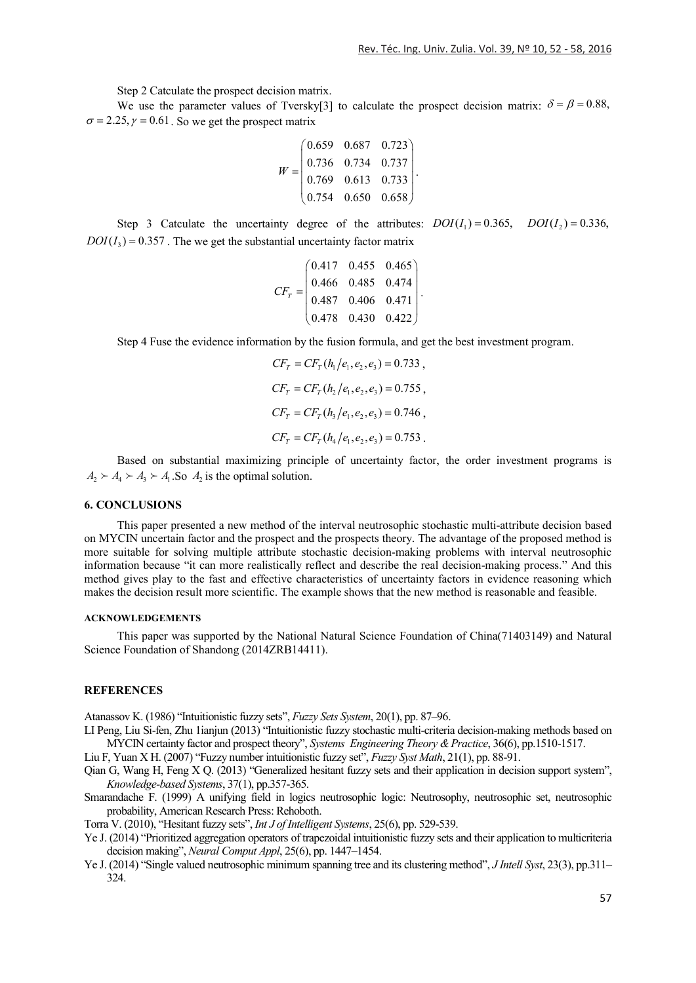Step 2 Catculate the prospect decision matrix.

We use the parameter values of Tversky[3] to calculate the prospect decision matrix:  $\delta = \beta = 0.88$ ,  $\sigma = 2.25, \gamma = 0.61$ . So we get the prospect matrix

$$
W = \begin{pmatrix} 0.659 & 0.687 & 0.723 \\ 0.736 & 0.734 & 0.737 \\ 0.769 & 0.613 & 0.733 \\ 0.754 & 0.650 & 0.658 \end{pmatrix}.
$$

Step 3 Catculate the uncertainty degree of the attributes:  $DOI(I_1) = 0.365$ ,  $DOI(I_2) = 0.336$ ,  $DOI(I<sub>3</sub>) = 0.357$ . The we get the substantial uncertainty factor matrix

$$
CF_T = \begin{pmatrix} 0.417 & 0.455 & 0.465 \\ 0.466 & 0.485 & 0.474 \\ 0.487 & 0.406 & 0.471 \\ 0.478 & 0.430 & 0.422 \end{pmatrix}
$$

.

Step 4 Fuse the evidence information by the fusion formula, and get the best investment program.

$$
CF_T = CF_T(h_1/e_1, e_2, e_3) = 0.733,
$$
  
\n
$$
CF_T = CF_T(h_2/e_1, e_2, e_3) = 0.755,
$$
  
\n
$$
CF_T = CF_T(h_3/e_1, e_2, e_3) = 0.746,
$$
  
\n
$$
CF_T = CF_T(h_4/e_1, e_2, e_3) = 0.753.
$$

Based on substantial maximizing principle of uncertainty factor, the order investment programs is  $A_2 \succ A_3 \succ A_1$ , So *A*<sub>2</sub> is the optimal solution.

### **6. CONCLUSIONS**

This paper presented a new method of the interval neutrosophic stochastic multi-attribute decision based on MYCIN uncertain factor and the prospect and the prospects theory. The advantage of the proposed method is more suitable for solving multiple attribute stochastic decision-making problems with interval neutrosophic information because "it can more realistically reflect and describe the real decision-making process." And this method gives play to the fast and effective characteristics of uncertainty factors in evidence reasoning which makes the decision result more scientific. The example shows that the new method is reasonable and feasible.

## **ACKNOWLEDGEMENTS**

This paper was supported by the National Natural Science Foundation of China(71403149) and Natural Science Foundation of Shandong (2014ZRB14411).

#### **REFERENCES**

Atanassov K. (1986) "Intuitionistic fuzzy sets", *Fuzzy Sets System*, 20(1), pp. 87–96.

LI Peng, Liu Si-fen, Zhu 1ianjun (2013) "Intuitionistic fuzzy stochastic multi-criteria decision-making methods based on MYCIN certainty factor and prospect theory", *Systems Engineering Theory &Practice*, 36(6), pp.1510-1517.

Liu F, Yuan X H. (2007) "Fuzzy number intuitionistic fuzzy set", *Fuzzy Syst Math*, 21(1), pp. 88-91.

- Qian G, Wang H, Feng X Q. (2013) "Generalized hesitant fuzzy sets and their application in decision support system", *Knowledge-based Systems*, 37(1), pp.357-365.
- Smarandache F. (1999) A unifying field in logics neutrosophic logic: Neutrosophy, neutrosophic set, neutrosophic probability, American Research Press: Rehoboth.

Torra V. (2010), "Hesitant fuzzy sets", *Int J of Intelligent Systems*, 25(6), pp. 529-539.

- Ye J. (2014) "Prioritized aggregation operators of trapezoidal intuitionistic fuzzy sets and their application to multicriteria decision making", *Neural Comput Appl*, 25(6), pp. 1447–1454.
- Ye J. (2014) "Single valued neutrosophic minimum spanning tree and its clustering method", *J Intell Syst*, 23(3), pp.311– 324.